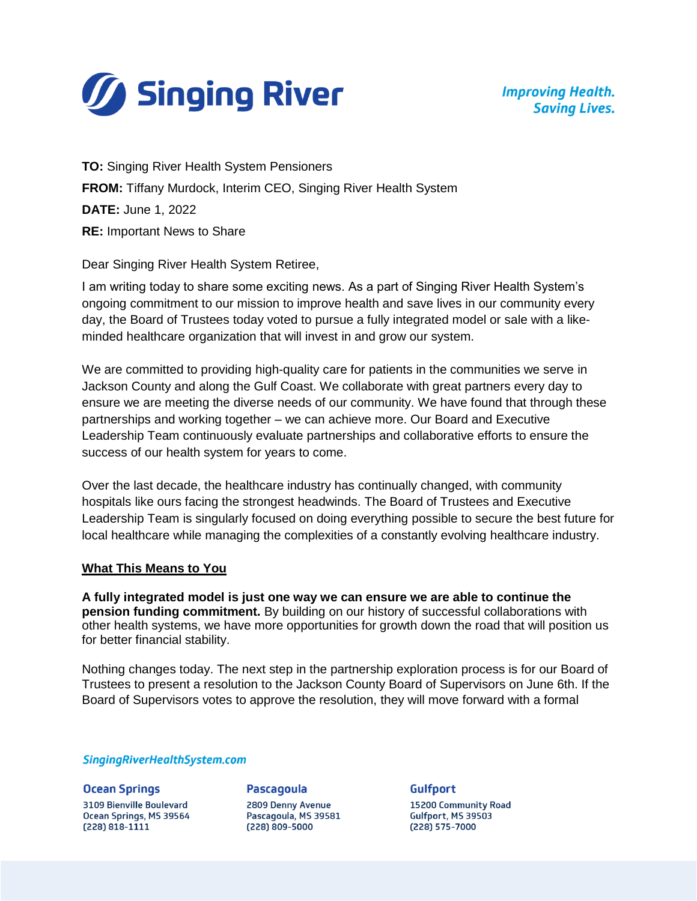

**Improving Health. Saving Lives.** 

**TO:** Singing River Health System Pensioners **FROM:** Tiffany Murdock, Interim CEO, Singing River Health System **DATE:** June 1, 2022 **RE:** Important News to Share

Dear Singing River Health System Retiree,

I am writing today to share some exciting news. As a part of Singing River Health System's ongoing commitment to our mission to improve health and save lives in our community every day, the Board of Trustees today voted to pursue a fully integrated model or sale with a likeminded healthcare organization that will invest in and grow our system.

We are committed to providing high-quality care for patients in the communities we serve in Jackson County and along the Gulf Coast. We collaborate with great partners every day to ensure we are meeting the diverse needs of our community. We have found that through these partnerships and working together – we can achieve more. Our Board and Executive Leadership Team continuously evaluate partnerships and collaborative efforts to ensure the success of our health system for years to come.

Over the last decade, the healthcare industry has continually changed, with community hospitals like ours facing the strongest headwinds. The Board of Trustees and Executive Leadership Team is singularly focused on doing everything possible to secure the best future for local healthcare while managing the complexities of a constantly evolving healthcare industry.

# **What This Means to You**

**A fully integrated model is just one way we can ensure we are able to continue the pension funding commitment.** By building on our history of successful collaborations with other health systems, we have more opportunities for growth down the road that will position us for better financial stability.

Nothing changes today. The next step in the partnership exploration process is for our Board of Trustees to present a resolution to the Jackson County Board of Supervisors on June 6th. If the Board of Supervisors votes to approve the resolution, they will move forward with a formal

## SingingRiverHealthSystem.com

## **Ocean Springs**

3109 Bienville Boulevard Ocean Springs, MS 39564  $(228) 818 - 1111$ 

## **Pascagoula**

2809 Denny Avenue Pascagoula, MS 39581  $(228) 809 - 5000$ 

## **Gulfport**

15200 Community Road Gulfport, MS 39503  $(228) 575 - 7000$